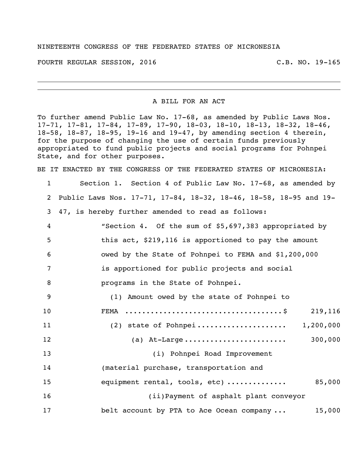## NINETEENTH CONGRESS OF THE FEDERATED STATES OF MICRONESIA

FOURTH REGULAR SESSION, 2016 C.B. NO. 19-165

A BILL FOR AN ACT

To further amend Public Law No. 17-68, as amended by Public Laws Nos. 17-71, 17-81, 17-84, 17-89, 17-90, 18-03, 18-10, 18-13, 18-32, 18-46, 18-58, 18-87, 18-95, 19-16 and 19-47, by amending section 4 therein, for the purpose of changing the use of certain funds previously appropriated to fund public projects and social programs for Pohnpei State, and for other purposes.

BE IT ENACTED BY THE CONGRESS OF THE FEDERATED STATES OF MICRONESIA:

| $\mathbf{1}$   | Section 1. Section 4 of Public Law No. 17-68, as amended by       |
|----------------|-------------------------------------------------------------------|
| $\overline{2}$ | Public Laws Nos. 17-71, 17-84, 18-32, 18-46, 18-58, 18-95 and 19- |
| 3              | 47, is hereby further amended to read as follows:                 |
| 4              | "Section 4. Of the sum of \$5,697,383 appropriated by             |
| 5              | this act, \$219,116 is apportioned to pay the amount              |
| 6              | owed by the State of Pohnpei to FEMA and \$1,200,000              |
| 7              | is apportioned for public projects and social                     |
| 8              | programs in the State of Pohnpei.                                 |
| 9              | (1) Amount owed by the state of Pohnpei to                        |
| 10             | 219,116<br>FEMA                                                   |
| 11             | (2) state of Pohnpei 1,200,000                                    |
| 12             | 300,000                                                           |
| 13             | (i) Pohnpei Road Improvement                                      |
| 14             | (material purchase, transportation and                            |
| 15             | 85,000<br>equipment rental, tools, etc)                           |
| 16             | (ii) Payment of asphalt plant conveyor                            |
| 17             | belt account by PTA to Ace Ocean company<br>15,000                |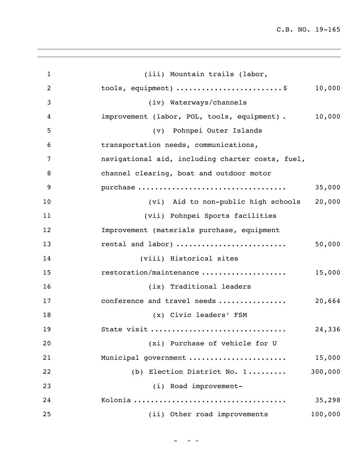C.B. NO. 19-165

| $\mathbf{1}$     | (iii) Mountain trails (labor,                         |
|------------------|-------------------------------------------------------|
| $\overline{2}$   | tools, equipment) \$<br>10,000                        |
| 3                | (iv) Waterways/channels                               |
| $\boldsymbol{4}$ | 10,000<br>improvement (labor, POL, tools, equipment). |
| 5                | (v) Pohnpei Outer Islands                             |
| 6                | transportation needs, communications,                 |
| 7                | navigational aid, including charter costs, fuel,      |
| 8                | channel clearing, boat and outdoor motor              |
| 9                | purchase<br>35,000                                    |
| 10               | 20,000<br>(vi) Aid to non-public high schools         |
| 11               | (vii) Pohnpei Sports facilities                       |
| 12               | Improvement (materials purchase, equipment            |
| 13               | rental and labor)<br>50,000                           |
| 14               | (viii) Historical sites                               |
| 15               | restoration/maintenance<br>15,000                     |
| 16               | (ix) Traditional leaders                              |
| 17               | conference and travel needs<br>20,664                 |
| 18               | (x) Civic leaders' FSM                                |
| 19               | 24,336<br>State visit                                 |
| 20               | (xi) Purchase of vehicle for U                        |
| 21               | 15,000<br>Municipal government                        |
| 22               | 300,000<br>(b) Election District No. 1                |
| 23               | (i) Road improvement-                                 |
| 24               | 35,298                                                |
| 25               | (ii) Other road improvements<br>100,000               |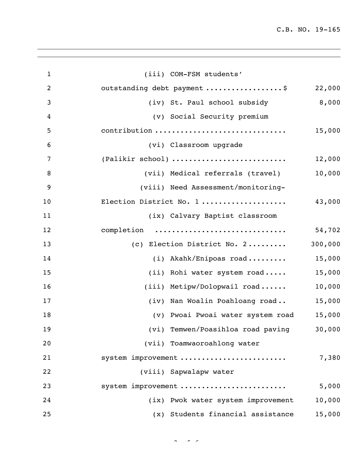C.B. NO. 19-165

| $\mathbf{1}$   | (iii) COM-FSM students'                      |
|----------------|----------------------------------------------|
| $\overline{2}$ | outstanding debt payment \$<br>22,000        |
| 3              | 8,000<br>(iv) St. Paul school subsidy        |
| 4              | (v) Social Security premium                  |
| 5              | contribution<br>15,000                       |
| 6              | (vi) Classroom upgrade                       |
| 7              | (Palikir school)<br>12,000                   |
| 8              | 10,000<br>(vii) Medical referrals (travel)   |
| 9              | (viii) Need Assessment/monitoring-           |
| 10             | Election District No. 1<br>43,000            |
| 11             | (ix) Calvary Baptist classroom               |
| 12             | completion<br>54,702                         |
| 13             | 300,000<br>(c) Election District No. 2       |
| 14             | 15,000<br>$(i)$ Akahk/Enipoas road           |
| 15             | 15,000<br>(ii) Rohi water system road        |
| 16             | 10,000<br>(iii) Metipw/Dolopwail road        |
| 17             | 15,000<br>(iv) Nan Woalin Poahloang road     |
| 18             | (v) Pwoai Pwoai water system road<br>15,000  |
| 19             | (vi) Temwen/Poasihloa road paving<br>30,000  |
| 20             | (vii) Toamwaoroahlong water                  |
| 21             | system improvement<br>7,380                  |
| 22             | (viii) Sapwalapw water                       |
| 23             | 5,000<br>system improvement                  |
| 24             | (ix) Pwok water system improvement<br>10,000 |
| 25             | (x) Students financial assistance<br>15,000  |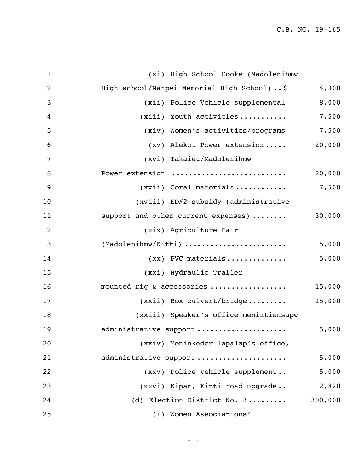| $\mathbf{1}$     | (xi) High School Cooks (Madolenihmw          |         |
|------------------|----------------------------------------------|---------|
| $\overline{2}$   | High school/Nanpei Memorial High School)  \$ | 4,300   |
| 3                | (xii) Police Vehicle supplemental            | 8,000   |
| $\overline{4}$   | (xiii) Youth activities                      | 7,500   |
| 5                | (xiv) Women's activities/programs            | 7,500   |
| 6                | (xv) Alekot Power extension                  | 20,000  |
| $\overline{7}$   | (xvi) Takaieu/Madolenihmw                    |         |
| 8                | Power extension                              | 20,000  |
| $\boldsymbol{9}$ | $(xvii)$ Coral materials                     | 7,500   |
| 10               | (xviii) ED#2 subsidy (administrative         |         |
| 11               | support and other current expenses)          | 30,000  |
| 12               | (xix) Agriculture Fair                       |         |
| 13               | (Madolenihmw/Kitti)                          | 5,000   |
| 14               | $(xx)$ PVC materials                         | 5,000   |
| 15               | (xxi) Hydraulic Trailer                      |         |
| 16               | mounted rig & accessories                    | 15,000  |
| 17               | $(xxii)$ Box culvert/bridge                  | 15,000  |
| 18               | (xxiii) Speaker's office menintiensapw       |         |
| 19               | administrative support                       | 5,000   |
| 20               | (xxiv) Meninkeder lapalap's office,          |         |
| 21               | administrative support                       | 5,000   |
| 22               | (xxv) Police vehicle supplement              | 5,000   |
| 23               | (xxvi) Kipar, Kitti road upgrade             | 2,820   |
| 24               | (d) Election District No. 3                  | 300,000 |
| 25               | (i) Women Associations'                      |         |

 $44.6 \times 10^{-12}$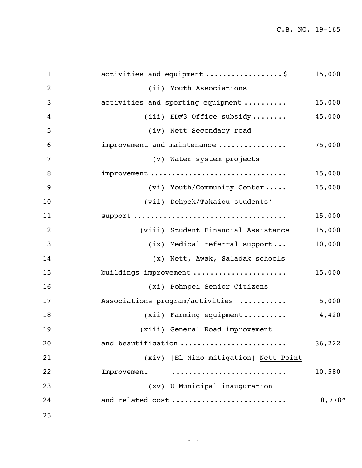C.B. NO. 19-165

| $\mathbf{1}$   | activities and equipment \$           | 15,000  |
|----------------|---------------------------------------|---------|
| $\overline{2}$ | (ii) Youth Associations               |         |
| 3              | activities and sporting equipment     | 15,000  |
| 4              | (iii) ED#3 Office subsidy             | 45,000  |
| 5              | (iv) Nett Secondary road              |         |
| 6              | improvement and maintenance           | 75,000  |
| 7              | (v) Water system projects             |         |
| 8              | improvement                           | 15,000  |
| 9              | (vi) Youth/Community Center           | 15,000  |
| 10             | (vii) Dehpek/Takaiou students'        |         |
| 11             |                                       | 15,000  |
| 12             | (viii) Student Financial Assistance   | 15,000  |
| 13             | (ix) Medical referral support         | 10,000  |
| 14             | (x) Nett, Awak, Saladak schools       |         |
| 15             | buildings improvement                 | 15,000  |
| 16             | (xi) Pohnpei Senior Citizens          |         |
| 17             | Associations program/activities       | 5,000   |
| 18             | $(xii)$ Farming equipment             | 4,420   |
| 19             | (xiii) General Road improvement       |         |
| 20             | and beautification                    | 36,222  |
| 21             | (xiv) [El Nino mitigation] Nett Point |         |
| 22             | Improvement                           | 10,580  |
| 23             | (xv) U Municipal inauguration         |         |
| 24             | and related cost                      | 8,778'' |
| 25             |                                       |         |

 $\frac{1}{\sqrt{2}}$  of  $\frac{1}{\sqrt{2}}$